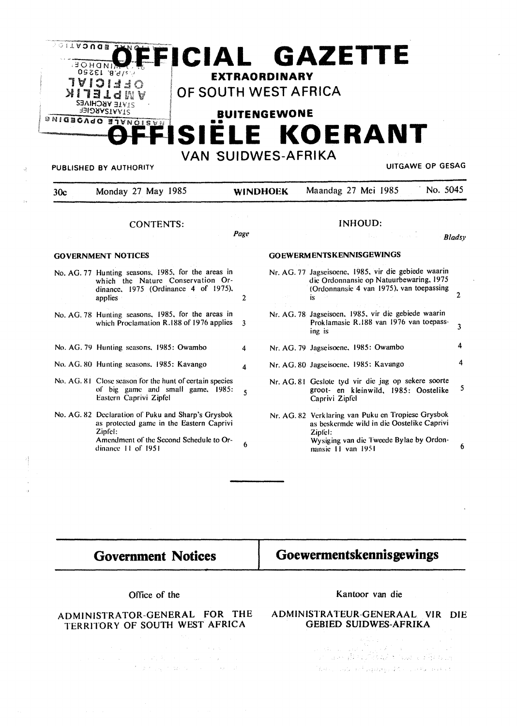

 $\boldsymbol{4}$ 

 $\overline{A}$ 

### **GOVERNMENT NOTICES**

- No. AG. 77 Hunting seasons, 1985, for the areas in which the Nature Conservation Ordinance, 1975 (Ordinance 4 of 1975), applies  $\overline{2}$
- No. AG. 78 Hunting seasons, 1985, for the areas in which Proclamation R.188 of 1976 applies  $\overline{\mathbf{3}}$
- No. AG. 79 Hunting seasons, 1985: Owambo
- No. AG. 80 Hunting seasons, 1985: Kavango
- No. AG. 81 Close season for the hunt of certain species of big game and small game, 1985:  $\overline{\mathbf{5}}$ Eastern Caprivi Zipfel
- No. AG. 82 Declaration of Puku and Sharp's Grysbok as protected game in the Eastern Caprivi Zipfel: Amendment of the Second Schedule to Or-6 dinance 11 of 1951

Nr. AG. 77 Jagseisoene, 1985, vir die gebiede waarin die Ordonnansie op Natuurbewaring, 1975 (Ordonnansie 4 van 1975), van toepassing is

 $\overline{2}$ 

4

4

6

- Nr. AG. 78 Jagseisoen, 1985, vir die gebiede waarin Proklamasie R.188 van 1976 van toepass- $\overline{\mathbf{3}}$ ing is
- Nr. AG. 79 Jagseisoene, 1985: Owambo

**GOEWERMENTSKENNISGEWINGS** 

- Nr. AG. 80 Jagseisoene, 1985: Kavango
- Nr. AG. 81 Geslote tyd vir die jag op sekere soorte 5 groot- en kleinwild, 1985: Oostelike Caprivi Zipfel
- Nr. AG. 82 Verklaring van Puku en Tropiese Grysbok as beskermde wild in die Oostelike Caprivi Zipfel: Wysiging van die Tweede Bylae by Ordonnansie 11 van 1951

# **Government Notices**

# Goewermentskennisgewings

#### Office of the

# ADMINISTRATOR-GENERAL FOR THE TERRITORY OF SOUTH WEST AFRICA

 $\sim 20\,\mu$   $M_{\odot}$ 

 $\mathcal{L}^{\mathcal{A}}(\mathcal{A}_{\mathcal{A}}(\mathcal{A}_{\mathcal{A}}))$  is a subset of the  $\mathcal{A}_{\mathcal{A}}(\mathcal{A}_{\mathcal{A}})$ The Captain Common Street

### Kantoor van die

### ADMINISTRATEUR-GENERAAL VIR DIE **GEBIED SUIDWES-AFRIKA**

i sa iliyo da katalog asl nashrida na shekarar 2012 a matsayin na shekarar 2012 a matsayin na shekarar 2012 a<br>Matsayin na shekarar 2012 a matsayin na shekarar 2012 a matsayin na shekarar 2012 a matsayin na shekarar 2012 ំងនាន់ប្រទេស នៅប៉ុន្មេរ អនុម្មវិធីការប្រទេស អនុម្មវិធី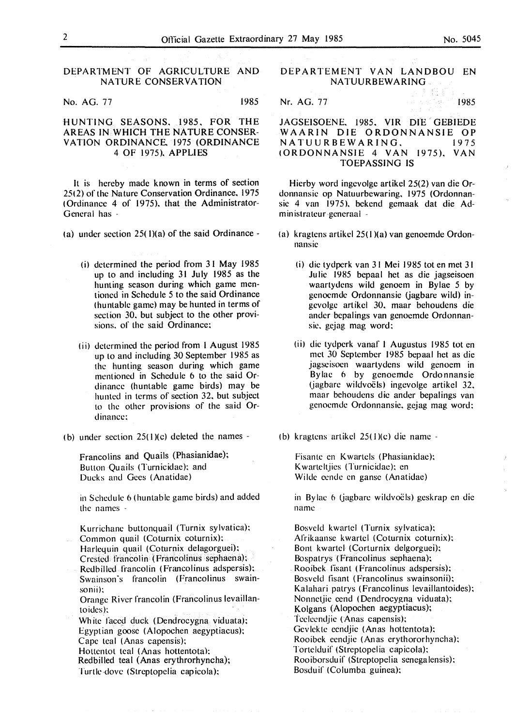DEPARTMENT OF AGRICULTURE AND NATURE CONSERVATION

No. AG. 77 1985

## HUNTING SEASONS. 1985. FOR THE AREAS IN WHICH THE NATURE CONSER-VATION ORDINANCE. 1975 (ORDINANCE 4 OF 1975). APPLIES

It is hereby made known in terms of section 25(2) of the Nature Conservation Ordinance. 1975 ( Ordinance 4 of 1975). that the Administrator-General has -

(a) under section  $25(1)(a)$  of the said Ordinance -

- (i) determined the period from 31 May 1985 up to and including 31 July 1985 as the hunting season during which game mentioned in Schedule 5 to the said Ordinance (huntable game) may be hunted in terms of section 30. but subject to the other provisions. of the said Ordinance:
- (ii) determined the period from I August 1985 up to and including 30 September 1985 as the hunting season during which game mentioned in Schedule 6 to the said Ordinance (huntable game birds) may be hunted in terms of section 32. but subject to the other provisions of the said Ordinance:
- (b) under section  $25(1)(c)$  deleted the names -

Francolins and Quails (Phasianidae); Button Quails (Turnicidac): and Ducks and Gees (Anatidae)

in Schedule 6 (huntable game birds) and added the names -

Kurrichane buttonquail (Turnix sylvatica): Common quail (Coturnix coturnix): Harlequin quail (Coturnix delagorguei): Crested francolin (Francolinus sephaena): Redbilled francolin (Francolinus adspersis); Swainson's francolin (Francolinus swainsonii): Orange River francolin (Francolinus levaillantoides): White faced duck (Dendrocygna viduata); Egyptian goose (Alopochen aegyptiacus): Cape teal (Anas capensis): Hottentot teal (Anas hottentota):

Redbilled teal (Anas erythrorhyncha); Turtle dove (Streptopelia capicola):

- DEPARTEMENT VAN LANDBOU EN NATUURBEWARING.
- Nr. AG. 77 1985

JAGSEISOENE. 1985. VIR DIE GEBIEDE WAARIN DIE ORDONNANSIE OP<br>NATUURBEWARING. 1975 NATUURBEWARING. !ORDONNANSIE 4 VAN 1975). VAN TOEPASSING IS

Hierby word ingevolgc artikel 25(2) van die Ordonnansie op Natuurbewaring. 1975 (Ordonnansie 4 van 1975). bckend gemaak dat die Administrateur-generaal -

- (a) kragtens artikel 25( I )(a) van genoemde Ordonnansie
	- Ii) die tydpcrk van 31 Mei 1985 tot en met 31 Julie 1985 bcpaal het as die jagseisoen waartydens wild genoem in Bylae 5 by genoemde Ordonnansie (jagbare wild) ingevolge artikel 30. maar behoudens die ander bepalings van gcnoemde Ordonnansie. gejag mag word:
	- (ii) die tydperk vanaf I Augustus 1985 tot en met 30 September 1985 bcpaal het as die jagscisocn waartydcns wild genoem in Bylae 6 by genoemde Ordonnansie (jagbare wildvoëls) ingevolge artikel 32. maar behoudens die ander bepalings van genoemde Ordonnansie, gejag mag word:
- ( b) kragtens artikel 25( I )(c) die name -

Fisante en Kwartcls (Phasianidae): Kwarteltjies (Turnicidae): en Wilde eende en ganse (Anatidae)

in Bylae 6 (jagbare wildvoëls) geskrap en die name

Bosveld kwartel (Turnix sylvatica): Afrikaanse kwartcl (Coturnix coturnix): Bont kwartel (Corturnix delgorguei): Bospatrys (Francolinus sephaena); Rooibek fisant (Francolinus adspersis): Bosveld fisant (Francolinus swainsonii); Kalahari patrys ( Francolinus levaillantoides): Nonnetjie ccnd ( Dendrocygna viduata): Kolgans (Alopochen aegyptiacus); 'feelecndjie (Anas capensis): Gevlckte ecndjic (Anas hottentota): Rooibck cendjic (Anas erythororhyncha): Tortelduif (Strcptopelia capicola): Rooiborsduif (Strcptopclia senegalensis): Bosduif (Columba guinea):

93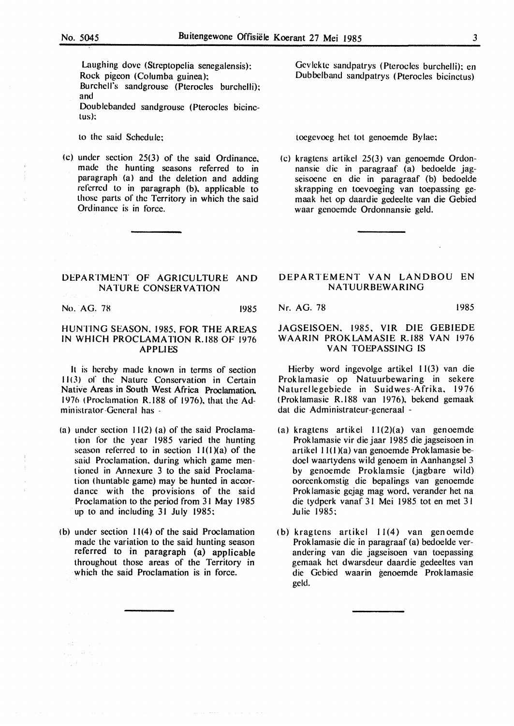Laughing dove (Streptopelia senegalensis): Rock pigeon (Columba guinea): Burchell's sandgrousc (Pterocles burchelli): and Doublebanded sandgrouse (Pterocles bicinc-

tus):

- to the said Schedule:
- (c) under section 25(3) of the said Ordinance. made the hunting seasons referred to in paragraph (a) and the deletion and adding referred to in paragraph (b), applicable to those parts of the Territory in which the said Ordinance is in force.

Gevlekte sandpatrys (Pterocles burchelli); en Dubbclband sandpatrys (Pterocles bicinctus)

toegevoeg het tot genoemde Bylae:

(c) kraglens arlikcl 25(3) van genoemde Ordonnansie die in paragraaf (a) bedoelde jagseisoene en die in paragraaf (b) bedoelde skrapping en toevoeging van toepassing gemaak hel op daardie gedeelte van die Gebied waar genoemde Ordonnansie geld.

## **DEPARTMENT OF AGRICULTURE AND NATURE CONSERVATION**

No. AG. 78 1985

 $\label{eq:1} \rho_{\rm{out}} = \gamma^2 \gamma^2 \gamma^2,$  $1.2 f < 1.0$ 

# HUNTING SEASON. 1985. FOR THE AREAS IN WHICH PROCLAMATION R.188 OF 1976 APPLIES

It is hereby made known in terms of section 11 ( 3) of the Nature Conservation in Certain Native Areas in South West Africa Proclamation. 1976 <Proclamation R.188 of 1976). that the Administrator-General has -

- (a) under section 11(2) (a) of the said Proclamation for the year 1985 varied the hunting season referred to in section  $11(1)(a)$  of the said Proclamation. during which game mentioned in Annexure 3 to the said Proclamation (hunlablc game) may be hunted in accordance with the provisions of the said Proclamation to the period from 31 May 1985 up to and including 31 July 1985:
- <b) under section 11(4) of the said Proclamation made the variation to the said hunting season referred to in paragraph (a) applicable throughout those areas of the Territory in which the said Proclamation is in force.

## DEPARTEMENT VAN LANDBOU EN **NATUURBEWARING**

Nr. AG. 78 1985

## JAGSEISOEN. 1985. VIR DIE GEBIEDE WAARIN PROKLAMASIE R.188 VAN 1976 VAN TOEPASSING IS

Hierby word ingevolge artikel 11(3) van die Prok lamasie op Natuurbewaring in sekere Naturellegebiede in Suidwes-Afrika. 1976 (Proklamasie R.188 van 1976). bekend gemaak dat die Administrateur-generaal -

- (a) kragtens artikel I 1(2)(a) van genoemde Proklamasie vir die jaar 1985 die jagseisoen in artikel 11(1)(a) van genoemde Proklamasie bedocl waartydens wild genoem in Aanhangsel 3 by genoemde Proklamsie (jagbare wild) ooreenkomstig die bepalings van genoemde Proklamasie gejag mag word, verander het na die tydperk vanaf 31 Mei 1985 tot en met 3 I Julie 1985:
- (b) kragtens artikel 11(4) van genoemde Proklamasie die in paragraaf (a) bedoelde verandering van die jagseisoen van toepassing gemaak het dwarsdeur daardie gedeeltes van die Gebied waarin genoemde Proklamasie geld.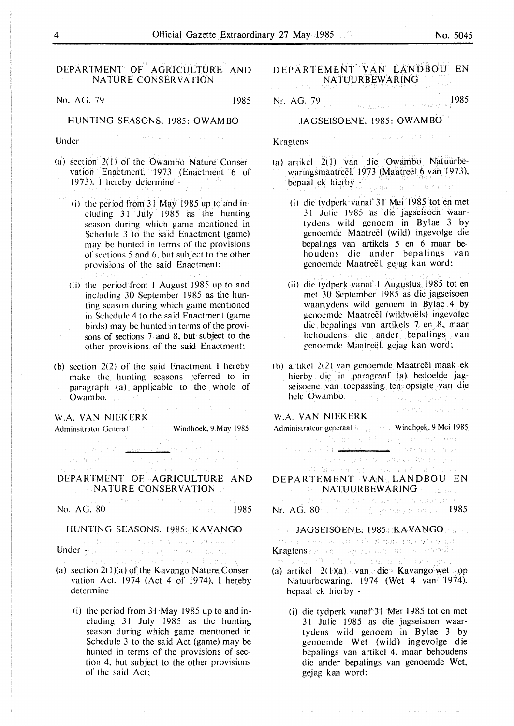## DEPARTMENT OF. AGRICULTURE AND NATURE CONSERVATION

No. AG. 79 1985

### HUNTING SEASONS. 1985: OWAMBO

of a series and the property

Under

- (a) section  $2(1)$  of the Owambo Nature Conservation Enactment. 1973 (Enactment 6 of 1973). I hereby determine -
	- (i) the period from 31 May 1985 up to and including 31 July 1985 as the hunting season during which game mentioned in Schedule 3 to the said Enactment (game) may be hunted in terms of the provisions or sections 5 and 6. but subject to the other provisions of the said Enactment:
	- (ii) the period from I August 1985 up to and including 30 September 1985 as the hunting season during which game mentioned in Schedule 4 to the said Enactment (game birds) may be hunted in terms of the provisons of sections 7 and 8, but subject to the other provisions of the said Enactment:
- (b) section 2(2) of the said Enactment I hereby make the hunting seasons referred to in paragraph (a) applicable to the whole of Owambo.

### W.A. VAN NIEKERK

Administrator General Windhoek, 9 May 1985

 $\label{eq:2} \left\{ \left\langle \psi_{\alpha} \right\rangle \right\} \leq \left\{ \left\langle \left( \left\langle \psi_{\alpha} \right\rangle \right) \right\rangle \right\} \leq \left\langle \left\langle \psi_{\alpha} \right\rangle \right\rangle \right\}$ .<br>Let de nach

a e partido de la c

DEPARTMENT OF AGRICULTURE AND NATURE CONSERVATION

不出 机二十号突 计条件控制设计器

No. AG. 80 1985

.<br>In a modella contra completa del contra contra del completa del contra del contra contra del contra del complet

# HUNTING SEASONS. 1985: KAVANGO

Under grad and Chat the superversion of the companies of

- (a) section 2( l)(a) of the Kavango Nature Conservation Act. 1974 (Act 4 of 1974). I hereby determine -
	- (i) the period from 31 May 1985 up to and including *3* I July 1985 as the hunting season during which game mentioned in Schedule 3 to the said Act (game) may be hunted in terms of the provisions of section 4. but subject to the other provisions of the said Act:

## DEPARTEMENT VAN LANDBOU EN NATUURBEWARING

Nr. AG. 79 1985

## JAGSEISOENE. 1985: **OWAMBO**

diamatod use allow

Kragtens -

- (a) artikcl 2(1) van die Owambo Natuurbewaringsmaatreel, 1973 (Maatreel 6 van 1973). bepaal ck hicrby - ·
	- ( i) die tydperk vanaf 3 I Mei 1985 tot en met 31 Julie 1985 as die jagseisoen waartydcns wild gcnocm in Bylae 3 by genoemde Maatreël (wild) ingevolge die bepalings van artikels 5 en 6 maar behoudens die ander bepalings van genoemde Maatreël, gejag kan word:
	- (ii) die tydpcrk vanaf I Augustus 1985 tot en met 30 September 1985 as die jagscisocn waartydens wild genocm in Bylae 4 by genoemde Maatreël (wildvoëls) ingevolge die bepalings .van artikcls 7 en. 8. maar behoudens die ander bcpalings. van genoemde Maatreël, gejag kan word:
- (b) artikel 2(2) van genoemde Maatreël maak ek hierby die in paragraaf (a) bcdoelde jagseisoene van toepassing ten opsigte van die hele Owambo. The maintain contract problems of the

光性 与中国运行中用的工作作用

### **W.A. VAN NIEKERK**

|  |  |                                                                                                                 | Administrateur generaal |
|--|--|-----------------------------------------------------------------------------------------------------------------|-------------------------|
|  |  | けっしょうしん 動画会の 石墨料 消遣者 風食 単活 生物                                                                                   |                         |
|  |  | jih da nga Palay <u>sa kasa sa sa na</u> yong pangayaya                                                         |                         |
|  |  | in the strength of a strength gas to gain and construction of the second second services of the second second s |                         |
|  |  | しんしょう しゅうきょう おおし しんしょう こうしょう アート・コンピュータ しんきょう しょうしゅうしゅう                                                         |                         |

DEPARTEMENT VAN LANDBOU EN **NATUURBEWARING** Server ាមទៅក្រុម ស្លុកផ្ទះ (ឆ្នាំ មាននេះយើនប្រើ

Nr. AG.  $80$ <sup>2</sup> 306  $\pm$  305  $\pm$  2004  $\pm$  300  $\pm$  1985

## JAGSEISOENE, 1985: KAVANGO

Mas, a Grand tup off is noturn (of) start

Kragtenspro lat departamente el su novidus

- (a) artikel 2( l.)(a) van die Kavango~wet *·9P*  Natuurbcwaring. 1974 (Wet 4 van· 1974), bcpaal ek h ierby -
	- (i) die tydperk vanaf 31 Mei 1985 tot en met 31 Julie 1985 as die jagseisoen waartydcns wild genoem in Bylae 3 by genocmde Wet (wild) ingevolge die bepalings van artikel 4, maar behoudens die ander bepalings van genoemde Wet, gcjag kan word: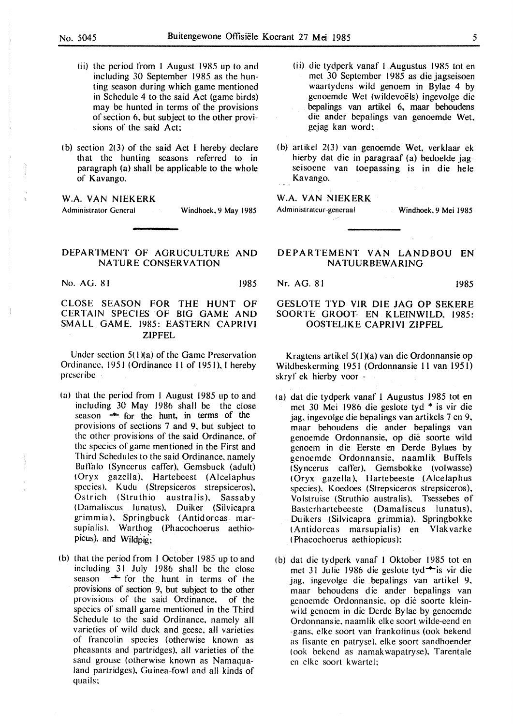- (ii) the period from I August 1985 up to and including 30 September 1985 as the hunting season during which game mentioned in Schedule 4 to the said Act (game birds) may be hunted in terms of the provisions of section 6. but subject to the other provisions of the said Act;
- (b) section  $2(3)$  of the said Act I hereby declare that the hunting seasons referred to in paragraph (a) shall be applicable to the whole of Kavango.

### **W.A. VAN NIEKERK**

Administrator General Windhoek, 9 May 1985

## DEPARTMENT OF AGRUCULTURE AND NATURE CONSERVATION

No. AG. 81 1985

CLOSE **SEASON FOR** THE **HUNT OF**  CERTAIN **SPECIES OF BIG GAME AND SMALL GAME.** 1985: **EASTERN CAPRIVI ZIPFEL** 

Under section  $5(1)(a)$  of the Game Preservation Ordinance. 19 51 (Ordinance 11 of 195 I). I hereby prescribe

- la) that the period from I August 1985 up to and including 30 May 1986 shall be the close season  $\rightarrow$  for the hunt, in terms of the provisions of sections 7 and 9. but subject to the other provisions of the said Ordinance, of the species of game mentioned in the First and Third Schedules to the said Ordinance, namely Bulfalo (Syncerus caffer). Gemsbuck (adult) (Oryx gazella). Hartebeest (Alcelaphus species). Kudu (Strepsiceros strepsiceros). Ostrich (Struthio australis). Sassaby (Damaliscus lunatus). Duiker (Silvicapra grimm ia ). Springbuck (Antidorcas marsupialis). Warthog (Phacochoerus aethiopicus). and Wildpig;
- (b) that the period from I October 1985 up to and including 31 July 1986 shall be the close  $s$ eason  $*$  for the hunt in terms of the provisions of section 9, but subject to the other provisions of the said Ordinance. of the species of small game mentioned in the Third Schedule to the said Ordinance, namely all varieties of wild duck and geese. all varieties of francolin species (otherwise known as pheasants and partridges). all varieties of the sand grouse (otherwise known as Namaqualand partridges). Guinea-fowl and all kinds of quails:
- (ii) die tydperk vanaf I Augustus 1985 tot en met 30 September 1985 as die jagseisoen waartydens wild genoem in Bylae 4 by genoemde Wet (wildevoels) ingevolge die bepalings van artikel 6, maar behoudens die ander bepalings van genoemde Wet. gejag kan word;
- (b) artikel 2(3) van genoemde Wet, verklaar ek hierby dat die in paragraaf (a) bedoelde jagseisoene van toepassing is in die hele Kavango.

### **W.A. VAN NIEKERK**

Administrateur-generaal Windhoek, 9 Mei 1985

## **DEPARTEMENT VAN LANDBOU EN NATUURBEWARING**

#### Nr. AG. 81 1985

## GESLOTE **TYD VIR DIE JAG OP SEKERE**  SOORTE **GROOT- EN KLEINWILD.** 1985: **OOSTELIKE CAPRIVI ZIPFEL**

Kragtens artikel 5( I )(a) van die Ordonnansie op Wildbeskerming 1951 (Ordonnansie l l van 1951) skryf ck hierby voor -

- ( a) dat die tydperk vanaf I Augustus 1985 tot en met 30 Mei 1986 die geslote tyd \* is vir die jag. ingevolge die bepalings van artikels 7 en 9. maar behoudens die ander bepalings van genoemde Ordonnansie. op die soorte wild genoem in die Eerste en Derde Bylaes by genoemde Ordonnansie. naamlik Buffels (Syncerus caller). Gemsbokke (volwasse) (Oryx gazella). Hartebeeste (Alcelaphus species). Koedoes (Strepsiceros strepsiceros). Volstruise (Struthio australis). Tsessebes of Basterhartebeeste (Damaliscus lunatus). Duikers (Silvicapra grimmia). Springbokke (Antidorcas marsupialis) en Vlakvarke . ( Phacochoerus aethiopicus);
- ( b) dat die tydperk vanaf l Oktober 1985 tot en met 31 Julie 1986 die geslote tyd \* is vir die jag. ingevolge die bepalings van artikel 9. maar behoudens die ander bepalings van genoemde Ordonnansie. op die soorte kleinwild genoem in die Derde Bylae by genoemde Ordonnansie. naamlik elke soort wilde-eend en -gans. elke soort van frankolinus (ook bekend as fisante en patryse). elke soort sandhoender (ook bekend as namakwapatryse), Tarentale en elke soort kwartel;